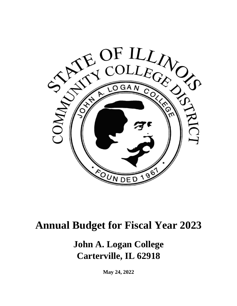

# **Annual Budget for Fiscal Year 2023**

# **John A. Logan College Carterville, IL 62918**

**May 24, 2022**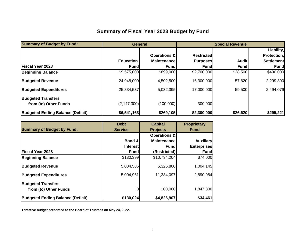# **Summary of Fiscal Year 2023 Budget by Fund**

| <b>Summary of Budget by Fund:</b>        |                  | <b>General</b>          |                   | <b>Special Revenue</b> |                   |
|------------------------------------------|------------------|-------------------------|-------------------|------------------------|-------------------|
|                                          |                  |                         |                   |                        | Liability,        |
|                                          |                  | <b>Operations &amp;</b> | <b>Restricted</b> |                        | Protection,       |
|                                          | <b>Education</b> | <b>Maintenance</b>      | <b>Purposes</b>   | <b>Audit</b>           | <b>Settlement</b> |
| <b>IFiscal Year 2023</b>                 | <b>Fund</b>      | <b>Fund</b>             | Fundl             | <b>Fund</b>            | <b>Fund</b>       |
| <b>Beginning Balance</b>                 | \$9,575,000      | \$899,000               | \$2,700,000       | \$28,500               | \$490,000         |
| <b>Budgeted Revenue</b>                  | 24,948,000       | 4,502,500               | 16,300,000        | 57,620                 | 2,299,300         |
| <b>Budgeted Expenditures</b>             | 25,834,537       | 5,032,395               | 17,000,000        | 59,500                 | 2,494,079         |
| <b>Budgeted Transfers</b>                |                  |                         |                   |                        |                   |
| from (to) Other Funds                    | (2, 147, 300)    | (100,000)               | 300,000           |                        |                   |
| <b>Budgeted Ending Balance (Deficit)</b> | \$6,541,163      | \$269,105               | \$2,300,000       | \$26,620               | \$295,221         |

|                                          | <b>Debt</b>     | <b>Capital</b>          | <b>Proprietary</b> |
|------------------------------------------|-----------------|-------------------------|--------------------|
| <b>Summary of Budget by Fund:</b>        | <b>Service</b>  | <b>Projects</b>         | <b>Fund</b>        |
|                                          |                 | <b>Operations &amp;</b> |                    |
|                                          | Bond &          | <b>Maintenance</b>      | <b>Auxiliary</b>   |
|                                          | <b>Interest</b> | Fundl                   | <b>Enterprises</b> |
| <b>Fiscal Year 2023</b>                  | <b>Fund</b>     | (Restricted)            | <b>Fund</b>        |
| <b>Beginning Balance</b>                 | \$130,399       | \$10,734,204            | \$74,000           |
| <b>Budgeted Revenue</b>                  | 5,004,586       | 5,326,800               | 1,004,145          |
| <b>Budgeted Expenditures</b>             | 5,004,961       | 11,334,097              | 2,890,984          |
| <b>Budgeted Transfers</b>                |                 |                         |                    |
| from (to) Other Funds                    |                 | 100,000                 | 1,847,300          |
| <b>Budgeted Ending Balance (Deficit)</b> | \$130,024       | \$4,826,907             | \$34,461           |

**Tentative budget presented to the Board of Trustees on May 24, 2022.**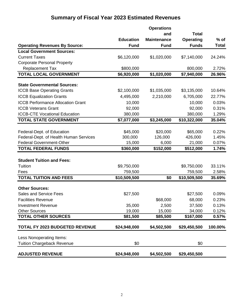# **Summary of Fiscal Year 2023 Estimated Revenues**

|                                          |                  | <b>Operations</b>  |              |              |
|------------------------------------------|------------------|--------------------|--------------|--------------|
|                                          |                  | and                | <b>Total</b> |              |
|                                          | <b>Education</b> | <b>Maintenance</b> | Operating    | $%$ of       |
| <b>Operating Revenues By Source:</b>     | <b>Fund</b>      | <b>Fund</b>        | <b>Funds</b> | <b>Total</b> |
| <b>Local Government Sources:</b>         |                  |                    |              |              |
| <b>Current Taxes</b>                     | \$6,120,000      | \$1,020,000        | \$7,140,000  | 24.24%       |
| <b>Corporate Personal Property</b>       |                  |                    |              |              |
| <b>Replacement Tax</b>                   | \$800,000        |                    | 800,000      | 2.72%        |
| <b>TOTAL LOCAL GOVERNMENT</b>            | \$6,920,000      | \$1,020,000        | \$7,940,000  | 26.96%       |
|                                          |                  |                    |              |              |
| <b>State Governmental Sources:</b>       |                  |                    |              |              |
| <b>ICCB Base Operating Grants</b>        | \$2,100,000      | \$1,035,000        | \$3,135,000  | 10.64%       |
| <b>ICCB Equalization Grants</b>          | 4,495,000        | 2,210,000          | 6,705,000    | 22.77%       |
| <b>ICCB Performance Allocation Grant</b> | 10,000           |                    | 10,000       | 0.03%        |
| <b>ICCB Veterans Grant</b>               | 92,000           |                    | 92,000       | 0.31%        |
| <b>ICCB-CTE Vocational Education</b>     | 380,000          |                    | 380,000      | 1.29%        |
| <b>TOTAL STATE GOVERNMENT</b>            | \$7,077,000      | \$3,245,000        | \$10,322,000 | 35.04%       |
|                                          |                  |                    |              |              |
| Federal-Dept. of Education               | \$45,000         | \$20,000           | \$65,000     | 0.22%        |
| Federal-Dept. of Health Human Services   | 300,000          | 126,000            | 426,000      | 1.45%        |
| <b>Federal Government-Other</b>          | 15,000           | 6,000              | 21,000       | 0.07%        |
| <b>TOTAL FEDERAL FUNDS</b>               | \$360,000        | \$152,000          | \$512,000    | 1.74%        |
|                                          |                  |                    |              |              |
| <b>Student Tuition and Fees:</b>         |                  |                    |              |              |
| Tuition                                  | \$9,750,000      |                    | \$9,750,000  | 33.11%       |
| Fees                                     | 759,500          |                    | 759,500      | 2.58%        |
| <b>TOTAL TUITION AND FEES</b>            | \$10,509,500     | \$0                | \$10,509,500 | 35.69%       |
| <b>Other Sources:</b>                    |                  |                    |              |              |
| <b>Sales and Service Fees</b>            | \$27,500         |                    | \$27,500     | 0.09%        |
| <b>Facilities Revenue</b>                |                  | \$68,000           | 68,000       | 0.23%        |
| <b>Investment Revenue</b>                | 35,000           | 2,500              | 37,500       | 0.13%        |
| <b>Other Sources</b>                     | 19,000           | 15,000             | 34,000       | 0.12%        |
| <b>TOTAL OTHER SOURCES</b>               | \$81,500         | \$85,500           | \$167,000    | 0.57%        |
|                                          |                  |                    |              |              |
| <b>TOTAL FY 2023 BUDGETED REVENUE</b>    | \$24,948,000     | \$4,502,500        | \$29,450,500 | 100.00%      |
| Less Nonoperating Items:                 |                  |                    |              |              |
| <b>Tuition Chargeback Revenue</b>        | \$0              |                    | \$0          |              |
|                                          |                  |                    |              |              |
| <b>ADJUSTED REVENUE</b>                  | \$24,948,000     | \$4,502,500        | \$29,450,500 |              |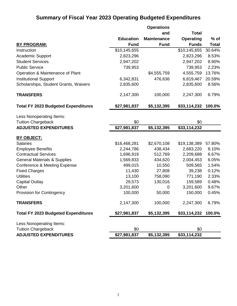# **Summary of Fiscal Year 2023 Operating Budgeted Expenditures**

|                                            |                  | <b>Operations</b>  |                  |              |
|--------------------------------------------|------------------|--------------------|------------------|--------------|
|                                            |                  | and                | <b>Total</b>     |              |
|                                            | <b>Education</b> | <b>Maintenance</b> | <b>Operating</b> | $%$ of       |
| <b>BY PROGRAM:</b>                         | <b>Fund</b>      | <b>Fund</b>        | <b>Funds</b>     | <b>Total</b> |
| Instruction                                | \$10,145,655     |                    | \$10,145,655     | 30.64%       |
| Academic Support                           | 2,823,296        |                    | 2,823,296        | 8.53%        |
| <b>Student Services</b>                    | 2,947,202        |                    | 2,947,202        | 8.90%        |
| <b>Public Service</b>                      | 739,953          |                    | 739,953          | 2.23%        |
| Operation & Maintenance of Plant           |                  | \$4,555,759        | 4,555,759        | 13.76%       |
| <b>Institutional Support</b>               | 6,342,831        | 476,636            | 6,819,467        | 20.59%       |
| Scholarships, Student Grants, Waivers      | 2,835,600        |                    | 2,835,600        | 8.56%        |
| <b>TRANSFERS</b>                           | 2,147,300        | 100,000            | 2,247,300        | 6.79%        |
| <b>Total FY 2023 Budgeted Expenditures</b> | \$27,981,837     | \$5,132,395        | \$33,114,232     | 100.0%       |
| Less Nonoperating Items:                   |                  |                    |                  |              |
| <b>Tuition Chargeback</b>                  | \$0              |                    | \$0              |              |
| <b>ADJUSTED EXPENDITURES</b>               | \$27,981,837     | \$5,132,395        | \$33,114,232     |              |
| BY OBJECT:                                 |                  |                    |                  |              |
| <b>Salaries</b>                            | \$16,468,281     | \$2,670,108        | \$19,138,389     | 57.80%       |
| <b>Employee Benefits</b>                   | 2,244,786        | 438,434            | 2,683,220        | 8.10%        |
| <b>Contractual Services</b>                | 1,696,919        | 512,769            | 2,209,688        | 6.67%        |
| <b>General Materials &amp; Supplies</b>    | 1,569,833        | 434,620            | 2,004,453        | 6.05%        |
| <b>Conference &amp; Meeting Expense</b>    | 499,015          | 10,550             | 509,565          | 1.54%        |
| <b>Fixed Charges</b>                       | 11,430           | 27,808             | 39,238           | 0.12%        |
| <b>Utilities</b>                           | 13,100           | 758,090            | 771,190          | 2.33%        |
| <b>Capital Outlay</b>                      | 29,573           | 130,016            | 159,589          | 0.48%        |
| Other                                      | 3,201,600        | 0                  | 3,201,600        | 9.67%        |
| <b>Provision for Contingency</b>           | 100,000          | 50,000             | 150,000          | 0.45%        |
| <b>TRANSFERS</b>                           | 2,147,300        | 100,000            | 2,247,300        | 6.79%        |
| <b>Total FY 2023 Budgeted Expenditures</b> | \$27,981,837     | \$5,132,395        | \$33,114,232     | 100.0%       |
| Less Nonoperating Items:                   |                  |                    |                  |              |
| <b>Tuition Chargeback</b>                  | \$0              |                    | \$0              |              |
| <b>ADJUSTED EXPENDITURES</b>               | \$27,981,837     | \$5,132,395        | \$33,114,232     |              |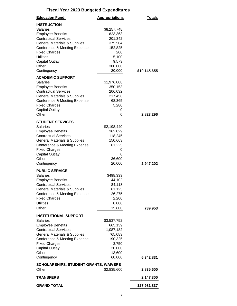| <b>Education Fund:</b>                                  | <b>Appropriations</b> | <u>Totals</u> |
|---------------------------------------------------------|-----------------------|---------------|
| <b>INSTRUCTION</b>                                      |                       |               |
| Salaries                                                | \$8,257,748           |               |
| <b>Employee Benefits</b>                                | 823,363               |               |
| <b>Contractual Services</b>                             | 201,342               |               |
| <b>General Materials &amp; Supplies</b>                 | 375,504               |               |
| Conference & Meeting Expense                            | 152,825               |               |
| <b>Fixed Charges</b>                                    | 200                   |               |
| <b>Utilities</b><br><b>Capital Outlay</b>               | 5,100<br>9,573        |               |
| Other                                                   | 300,000               |               |
| Contingency                                             | 20,000                | \$10,145,655  |
| <b>ACADEMIC SUPPORT</b>                                 |                       |               |
| <b>Salaries</b>                                         | \$1,976,008           |               |
| <b>Employee Benefits</b>                                | 350,153               |               |
| <b>Contractual Services</b>                             | 206,032               |               |
| <b>General Materials &amp; Supplies</b>                 | 217,458               |               |
| Conference & Meeting Expense                            | 68,365                |               |
| <b>Fixed Charges</b>                                    | 5,280                 |               |
| <b>Capital Outlay</b>                                   | 0                     |               |
| Other                                                   | 0                     | 2,823,296     |
| <b>STUDENT SERVICES</b>                                 |                       |               |
| <b>Salaries</b>                                         | \$2,198,440           |               |
| <b>Employee Benefits</b>                                | 362,029               |               |
| <b>Contractual Services</b>                             | 118,245               |               |
| <b>General Materials &amp; Supplies</b>                 | 150,663               |               |
| Conference & Meeting Expense                            | 61,225                |               |
| <b>Fixed Charges</b>                                    | 0                     |               |
| <b>Capital Outlay</b>                                   | 0                     |               |
| Other<br>Contingency                                    | 36,600<br>20,000      | 2,947,202     |
|                                                         |                       |               |
| <b>PUBLIC SERVICE</b>                                   |                       |               |
| <b>Salaries</b>                                         | \$498,333<br>44,102   |               |
| <b>Employee Benefits</b><br><b>Contractual Services</b> | 84,118                |               |
| <b>General Materials &amp; Supplies</b>                 | 61,125                |               |
| Conference & Meeting Expense                            | 26,275                |               |
| <b>Fixed Charges</b>                                    | 2,200                 |               |
| <b>Utilities</b>                                        | 8,000                 |               |
| Other                                                   | 15,800                | 739,953       |
| <b>INSTITUTIONAL SUPPORT</b>                            |                       |               |
| Salaries                                                | \$3,537,752           |               |
| <b>Employee Benefits</b>                                | 665,139               |               |
| <b>Contractual Services</b>                             | 1,087,182             |               |
| <b>General Materials &amp; Supplies</b>                 | 765,083               |               |
| Conference & Meeting Expense                            | 190,325               |               |
| <b>Fixed Charges</b>                                    | 3,750                 |               |
| <b>Capital Outlay</b>                                   | 20,000                |               |
| Other                                                   | 13,600                |               |
| Contingency                                             | 60,000                | 6,342,831     |
| <b>SCHOLARSHIPS, STUDENT GRANTS, WAIVERS</b>            |                       |               |
| Other                                                   | \$2,835,600           | 2,835,600     |
| <b>TRANSFERS</b>                                        |                       | 2,147,300     |
| <b>GRAND TOTAL</b>                                      |                       | \$27,981,837  |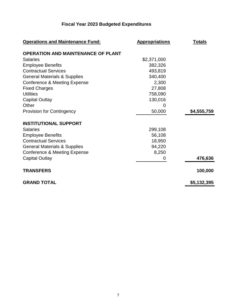| <b>Operations and Maintenance Fund:</b>   | <b>Appropriations</b> | <b>Totals</b> |
|-------------------------------------------|-----------------------|---------------|
| <b>OPERATION AND MAINTENANCE OF PLANT</b> |                       |               |
| <b>Salaries</b>                           | \$2,371,000           |               |
| <b>Employee Benefits</b>                  | 382,326               |               |
| <b>Contractual Services</b>               | 493,819               |               |
| <b>General Materials &amp; Supplies</b>   | 340,400               |               |
| Conference & Meeting Expense              | 2,300                 |               |
| <b>Fixed Charges</b>                      | 27,808                |               |
| <b>Utilities</b>                          | 758,090               |               |
| <b>Capital Outlay</b>                     | 130,016               |               |
| Other                                     | 0                     |               |
| <b>Provision for Contingency</b>          | 50,000                | \$4,555,759   |
| <b>INSTITUTIONAL SUPPORT</b>              |                       |               |
| <b>Salaries</b>                           | 299,108               |               |
| <b>Employee Benefits</b>                  | 56,108                |               |
| <b>Contractual Services</b>               | 18,950                |               |
| <b>General Materials &amp; Supplies</b>   | 94,220                |               |
| Conference & Meeting Expense              | 8,250                 |               |
| <b>Capital Outlay</b>                     | 0                     | 476,636       |
| <b>TRANSFERS</b>                          |                       | 100,000       |
| <b>GRAND TOTAL</b>                        |                       | \$5,132,395   |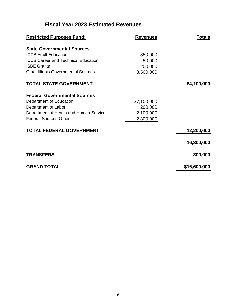# **Fiscal Year 2023 Estimated Revenues**

| <b>Restricted Purposes Fund:</b>           | <b>Revenues</b> | <u>Totals</u> |
|--------------------------------------------|-----------------|---------------|
| <b>State Governmental Sources</b>          |                 |               |
| <b>ICCB Adult Education</b>                | 350,000         |               |
| <b>ICCB Career and Technical Education</b> | 50,000          |               |
| <b>ISBE Grants</b>                         | 200,000         |               |
| <b>Other Illinois Governmental Sources</b> | 3,500,000       |               |
| <b>TOTAL STATE GOVERNMENT</b>              |                 | \$4,100,000   |
| <b>Federal Governmental Sources</b>        |                 |               |
| Department of Education                    | \$7,100,000     |               |
| Department of Labor                        | 200,000         |               |
| Department of Health and Human Services    | 2,100,000       |               |
| <b>Federal Sources-Other</b>               | 2,800,000       |               |
| <b>TOTAL FEDERAL GOVERNMENT</b>            |                 | 12,200,000    |
|                                            |                 | 16,300,000    |
| <b>TRANSFERS</b>                           |                 | 300,000       |
| <b>GRAND TOTAL</b>                         |                 | \$16,600,000  |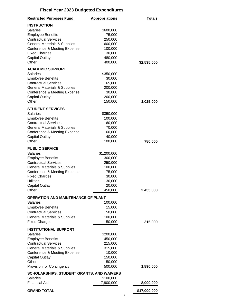| <b>Restricted Purposes Fund:</b>                        | <b>Appropriations</b> | <b>Totals</b> |
|---------------------------------------------------------|-----------------------|---------------|
| <b>INSTRUCTION</b>                                      |                       |               |
| Salaries                                                | \$600,000             |               |
| <b>Employee Benefits</b>                                | 75,000                |               |
| <b>Contractual Services</b>                             | 250,000               |               |
| <b>General Materials &amp; Supplies</b>                 | 600,000               |               |
| Conference & Meeting Expense                            | 100,000               |               |
| <b>Fixed Charges</b>                                    | 30,000                |               |
| <b>Capital Outlay</b>                                   | 480,000               |               |
| Other                                                   | 400,000               | \$2,535,000   |
| <b>ACADEMIC SUPPORT</b>                                 |                       |               |
| <b>Salaries</b>                                         | \$350,000             |               |
| <b>Employee Benefits</b>                                | 30,000                |               |
| <b>Contractual Services</b>                             | 65,000                |               |
| <b>General Materials &amp; Supplies</b>                 | 200,000               |               |
| Conference & Meeting Expense                            | 30,000                |               |
| <b>Capital Outlay</b>                                   | 200,000               |               |
| Other                                                   | 150,000               | 1,025,000     |
|                                                         |                       |               |
| <b>STUDENT SERVICES</b>                                 |                       |               |
| Salaries                                                | \$350,000             |               |
| <b>Employee Benefits</b><br><b>Contractual Services</b> | 100,000               |               |
| <b>General Materials &amp; Supplies</b>                 | 60,000<br>70,000      |               |
|                                                         | 60,000                |               |
| Conference & Meeting Expense<br><b>Capital Outlay</b>   | 40,000                |               |
| Other                                                   | 100,000               | 780,000       |
|                                                         |                       |               |
| <b>PUBLIC SERVICE</b>                                   |                       |               |
| <b>Salaries</b>                                         | \$1,200,000           |               |
| <b>Employee Benefits</b>                                | 300,000               |               |
| <b>Contractual Services</b>                             | 250,000               |               |
| <b>General Materials &amp; Supplies</b>                 | 100,000               |               |
| Conference & Meeting Expense                            | 75,000                |               |
| <b>Fixed Charges</b>                                    | 30,000                |               |
| <b>Utilities</b>                                        | 30,000                |               |
| <b>Capital Outlay</b>                                   | 20,000                |               |
| Other                                                   | 450,000               | 2,455,000     |
| <b>OPERATION AND MAINTENANCE OF PLANT</b>               |                       |               |
| <b>Salaries</b>                                         | 100,000               |               |
| <b>Employee Benefits</b>                                | 15,000                |               |
| <b>Contractual Services</b>                             | 50,000                |               |
| <b>General Materials &amp; Supplies</b>                 | 100,000               |               |
| <b>Fixed Charges</b>                                    | 50,000                | 315,000       |
|                                                         |                       |               |
| <b>INSTITUTIONAL SUPPORT</b>                            |                       |               |
| <b>Salaries</b>                                         | \$200,000             |               |
| <b>Employee Benefits</b><br><b>Contractual Services</b> | 450,000               |               |
| <b>General Materials &amp; Supplies</b>                 | 215,000               |               |
| Conference & Meeting Expense                            | 315,000<br>10,000     |               |
| <b>Capital Outlay</b>                                   | 150,000               |               |
| Other                                                   | 50,000                |               |
| Provision for Contingency                               | 500,000               | 1,890,000     |
|                                                         |                       |               |
| <b>SCHOLARSHIPS, STUDENT GRANTS, AND WAIVERS</b>        |                       |               |
| <b>Salaries</b>                                         | \$100,000             |               |
| <b>Financial Aid</b>                                    | 7,900,000             | 8,000,000     |
| <b>GRAND TOTAL</b>                                      |                       | \$17,000,000  |
|                                                         | 7                     |               |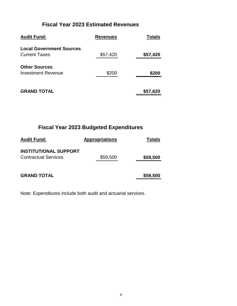#### **Fiscal Year 2023 Estimated Revenues**

| <b>Audit Fund:</b>                                      | <b>Revenues</b> | Totals   |
|---------------------------------------------------------|-----------------|----------|
| <b>Local Government Sources</b><br><b>Current Taxes</b> | \$57,420        | \$57,420 |
| <b>Other Sources</b><br><b>Investment Revenue</b>       | \$200           | \$200    |
| <b>GRAND TOTAL</b>                                      |                 | \$57,620 |

# **Fiscal Year 2023 Budgeted Expenditures**

| <b>Audit Fund:</b>                                          | <b>Appropriations</b> | Totals   |
|-------------------------------------------------------------|-----------------------|----------|
| <b>INSTITUTIONAL SUPPORT</b><br><b>Contractual Services</b> | \$59,500              | \$59,500 |
| <b>GRAND TOTAL</b>                                          |                       | \$59,500 |

Note: Expenditures include both audit and actuarial services.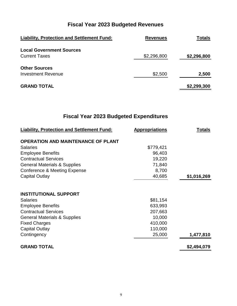| <b>Liability, Protection and Settlement Fund:</b> | <b>Revenues</b> | <b>Totals</b> |
|---------------------------------------------------|-----------------|---------------|
| <b>Local Government Sources</b>                   |                 |               |
| <b>Current Taxes</b>                              | \$2,296,800     | \$2,296,800   |
| <b>Other Sources</b>                              |                 |               |
| <b>Investment Revenue</b>                         | \$2,500         | 2,500         |
| <b>GRAND TOTAL</b>                                |                 | \$2,299,300   |

| <b>Liability, Protection and Settlement Fund:</b> | <b>Appropriations</b> | <u>Totals</u> |
|---------------------------------------------------|-----------------------|---------------|
| <b>OPERATION AND MAINTENANCE OF PLANT</b>         |                       |               |
| <b>Salaries</b>                                   | \$779,421             |               |
| <b>Employee Benefits</b>                          | 96,403                |               |
| <b>Contractual Services</b>                       | 19,220                |               |
| <b>General Materials &amp; Supplies</b>           | 71,840                |               |
| Conference & Meeting Expense                      | 8,700                 |               |
| <b>Capital Outlay</b>                             | 40,685                | \$1,016,269   |
|                                                   |                       |               |
| <b>INSTITUTIONAL SUPPORT</b>                      |                       |               |
| <b>Salaries</b>                                   | \$81,154              |               |
| <b>Employee Benefits</b>                          | 633,993               |               |
| <b>Contractual Services</b>                       | 207,663               |               |
| <b>General Materials &amp; Supplies</b>           | 10,000                |               |
| <b>Fixed Charges</b>                              | 410,000               |               |
| <b>Capital Outlay</b>                             | 110,000               |               |
| Contingency                                       | 25,000                | 1,477,810     |
| <b>GRAND TOTAL</b>                                |                       | \$2,494,079   |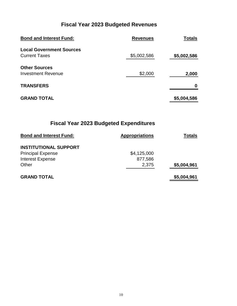| <b>Bond and Interest Fund:</b>                          | <b>Revenues</b> | <b>Totals</b> |
|---------------------------------------------------------|-----------------|---------------|
| <b>Local Government Sources</b><br><b>Current Taxes</b> | \$5,002,586     | \$5,002,586   |
| <b>Other Sources</b><br><b>Investment Revenue</b>       | \$2,000         | 2,000         |
| <b>TRANSFERS</b>                                        |                 | Ω             |
| <b>GRAND TOTAL</b>                                      |                 | \$5,004,586   |

| <b>Bond and Interest Fund:</b> | <b>Appropriations</b> | Totals      |
|--------------------------------|-----------------------|-------------|
| <b>INSTITUTIONAL SUPPORT</b>   |                       |             |
| <b>Principal Expense</b>       | \$4,125,000           |             |
| <b>Interest Expense</b>        | 877,586               |             |
| Other                          | 2,375                 | \$5,004,961 |
| <b>GRAND TOTAL</b>             |                       | \$5,004,961 |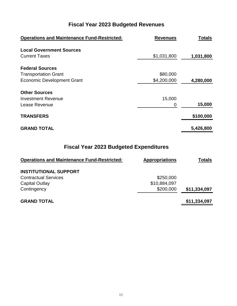| <b>Operations and Maintenance Fund-Restricted:</b> | <b>Revenues</b> | <b>Totals</b> |
|----------------------------------------------------|-----------------|---------------|
| <b>Local Government Sources</b>                    |                 |               |
| <b>Current Taxes</b>                               | \$1,031,800     | 1,031,800     |
| <b>Federal Sources</b>                             |                 |               |
| <b>Transportation Grant</b>                        | \$80,000        |               |
| <b>Economic Development Grant</b>                  | \$4,200,000     | 4,280,000     |
| <b>Other Sources</b>                               |                 |               |
| <b>Investment Revenue</b>                          | 15,000          |               |
| Lease Revenue                                      | 0               | 15,000        |
| <b>TRANSFERS</b>                                   |                 | \$100,000     |
| <b>GRAND TOTAL</b>                                 |                 | 5,426,800     |

| <b>Operations and Maintenance Fund-Restricted:</b> | <b>Appropriations</b> | <b>Totals</b> |
|----------------------------------------------------|-----------------------|---------------|
| <b>INSTITUTIONAL SUPPORT</b>                       |                       |               |
| <b>Contractual Services</b>                        | \$250,000             |               |
| Capital Outlay                                     | \$10,884,097          |               |
| Contingency                                        | \$200,000             | \$11,334,097  |
| <b>GRAND TOTAL</b>                                 |                       | \$11,334,097  |